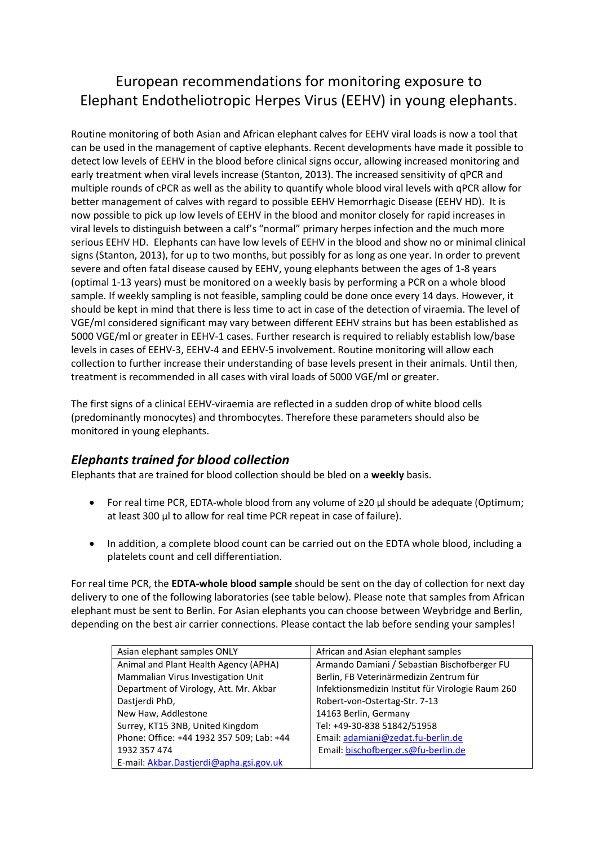# European recommendations for monitoring exposure to Elephant Endotheliotropic Herpes Virus (EEHV) in young elephants.

Routine monitoring of both Asian and African elephant calves for EEHV viral loads is now a tool that can be used in the management of captive elephants. Recent developments have made it possible to detect low levels of EEHV in the blood before clinical signs occur, allowing increased monitoring and early treatment when viral levels increase (Stanton, 2013). The increased sensitivity of qPCR and multiple rounds of cPCR as well as the ability to quantify whole blood viral levels with qPCR allow for better management of calves with regard to possible EEHV Hemorrhagic Disease (EEHV HD). It is now possible to pick up low levels of EEHV in the blood and monitor closely for rapid increases in viral levels to distinguish between a calf's "normal" primary herpes infection and the much more serious EEHV HD. Elephants can have low levels of EEHV in the blood and show no or minimal clinical signs (Stanton, 2013), for up to two months, but possibly for as long as one year. In order to prevent severe and often fatal disease caused by EEHV, young elephants between the ages of 1-8 years (optimal 1-13 years) must be monitored on a weekly basis by performing a PCR on a whole blood sample. If weekly sampling is not feasible, sampling could be done once every 14 days. However, it should be kept in mind that there is less time to act in case of the detection of viraemia. The level of VGE/ml considered significant may vary between different EEHV strains but has been established as 5000 VGE/ml or greater in EEHV-1 cases. Further research is required to reliably establish low/base levels in cases of EEHV-3, EEHV-4 and EEHV-5 involvement. Routine monitoring will allow each collection to further increase their understanding of base levels present in their animals. Until then, treatment is recommended in all cases with viral loads of 5000 VGE/ml or greater.

The first signs of a clinical EEHV-viraemia are reflected in a sudden drop of white blood cells (predominantly monocytes) and thrombocytes. Therefore these parameters should also be monitored in young elephants.

# *Elephants trained for blood collection*

Elephants that are trained for blood collection should be bled on a **weekly** basis.

- For real time PCR, EDTA-whole blood from any volume of ≥20 µl should be adequate (Optimum; at least 300 µl to allow for real time PCR repeat in case of failure).
- In addition, a complete blood count can be carried out on the EDTA whole blood, including a platelets count and cell differentiation.

For real time PCR, the **EDTA-whole blood sample** should be sent on the day of collection for next day delivery to one of the following laboratories (see table below). Please note that samples from African elephant must be sent to Berlin. For Asian elephants you can choose between Weybridge and Berlin, depending on the best air carrier connections. Please contact the lab before sending your samples!

| Asian elephant samples ONLY               | African and Asian elephant samples                |
|-------------------------------------------|---------------------------------------------------|
| Animal and Plant Health Agency (APHA)     | Armando Damiani / Sebastian Bischofberger FU      |
| Mammalian Virus Investigation Unit        | Berlin, FB Veterinärmedizin Zentrum für           |
| Department of Virology, Att. Mr. Akbar    | Infektionsmedizin Institut für Virologie Raum 260 |
| Dastjerdi PhD,                            | Robert-von-Ostertag-Str. 7-13                     |
| New Haw, Addlestone                       | 14163 Berlin, Germany                             |
| Surrey, KT15 3NB, United Kingdom          | Tel: +49-30-838 51842/51958                       |
| Phone: Office: +44 1932 357 509; Lab: +44 | Email: adamiani@zedat.fu-berlin.de                |
| 1932 357 474                              | Email: bischofberger.s@fu-berlin.de               |
| E-mail: Akbar.Dastjerdi@apha.gsi.gov.uk   |                                                   |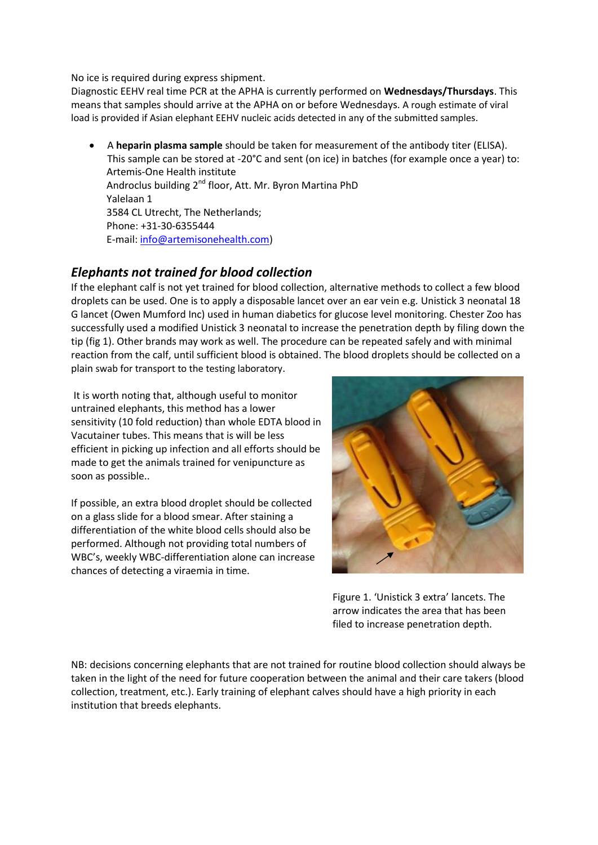No ice is required during express shipment.

Diagnostic EEHV real time PCR at the APHA is currently performed on **Wednesdays/Thursdays**. This means that samples should arrive at the APHA on or before Wednesdays. A rough estimate of viral load is provided if Asian elephant EEHV nucleic acids detected in any of the submitted samples.

 A **heparin plasma sample** should be taken for measurement of the antibody titer (ELISA). This sample can be stored at -20°C and sent (on ice) in batches (for example once a year) to: Artemis-One Health institute Androclus building 2<sup>nd</sup> floor, Att. Mr. Byron Martina PhD Yalelaan 1 3584 CL Utrecht, The Netherlands; Phone: +31-30-6355444 E-mail[: info@artemisonehealth.com\)](mailto:info@artemisonehealth.com)

# *Elephants not trained for blood collection*

If the elephant calf is not yet trained for blood collection, alternative methods to collect a few blood droplets can be used. One is to apply a disposable lancet over an ear vein e.g. Unistick 3 neonatal 18 G lancet (Owen Mumford Inc) used in human diabetics for glucose level monitoring. Chester Zoo has successfully used a modified Unistick 3 neonatal to increase the penetration depth by filing down the tip (fig 1). Other brands may work as well. The procedure can be repeated safely and with minimal reaction from the calf, until sufficient blood is obtained. The blood droplets should be collected on a plain swab for transport to the testing laboratory.

It is worth noting that, although useful to monitor untrained elephants, this method has a lower sensitivity (10 fold reduction) than whole EDTA blood in Vacutainer tubes. This means that is will be less efficient in picking up infection and all efforts should be made to get the animals trained for venipuncture as soon as possible..

If possible, an extra blood droplet should be collected on a glass slide for a blood smear. After staining a differentiation of the white blood cells should also be performed. Although not providing total numbers of WBC's, weekly WBC-differentiation alone can increase chances of detecting a viraemia in time.



 Figure 1. 'Unistick 3 extra' lancets. The arrow indicates the area that has been filed to increase penetration depth.

NB: decisions concerning elephants that are not trained for routine blood collection should always be taken in the light of the need for future cooperation between the animal and their care takers (blood collection, treatment, etc.). Early training of elephant calves should have a high priority in each institution that breeds elephants.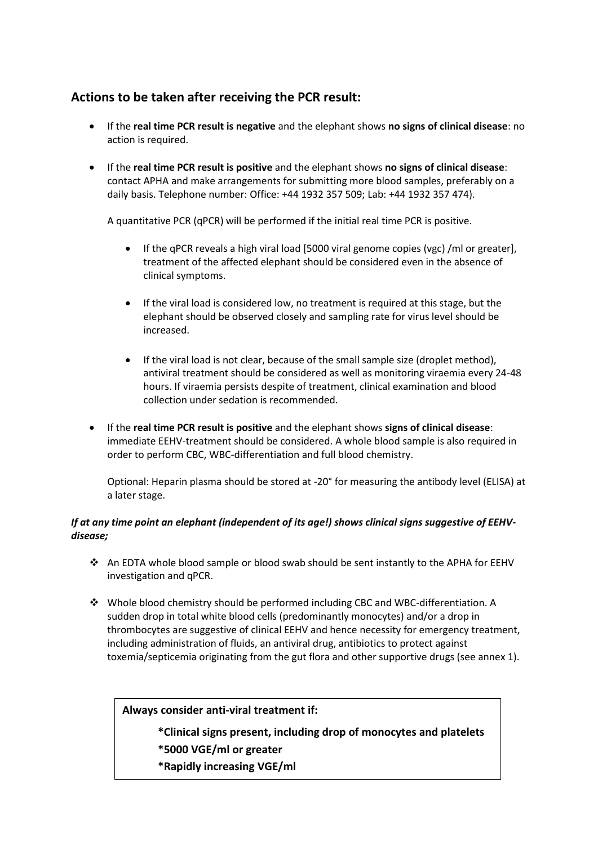# **Actions to be taken after receiving the PCR result:**

- If the **real time PCR result is negative** and the elephant shows **no signs of clinical disease**: no action is required.
- If the **real time PCR result is positive** and the elephant shows **no signs of clinical disease**: contact APHA and make arrangements for submitting more blood samples, preferably on a daily basis. Telephone number: Office: +44 1932 357 509; Lab: +44 1932 357 474).

A quantitative PCR (qPCR) will be performed if the initial real time PCR is positive.

- If the qPCR reveals a high viral load [5000 viral genome copies (vgc) /ml or greater], treatment of the affected elephant should be considered even in the absence of clinical symptoms.
- If the viral load is considered low, no treatment is required at this stage, but the elephant should be observed closely and sampling rate for virus level should be increased.
- If the viral load is not clear, because of the small sample size (droplet method), antiviral treatment should be considered as well as monitoring viraemia every 24-48 hours. If viraemia persists despite of treatment, clinical examination and blood collection under sedation is recommended.
- If the **real time PCR result is positive** and the elephant shows **signs of clinical disease**: immediate EEHV-treatment should be considered. A whole blood sample is also required in order to perform CBC, WBC-differentiation and full blood chemistry.

Optional: Heparin plasma should be stored at -20° for measuring the antibody level (ELISA) at a later stage.

### *If at any time point an elephant (independent of its age!) shows clinical signs suggestive of EEHVdisease;*

- An EDTA whole blood sample or blood swab should be sent instantly to the APHA for EEHV investigation and qPCR.
- Whole blood chemistry should be performed including CBC and WBC-differentiation. A sudden drop in total white blood cells (predominantly monocytes) and/or a drop in thrombocytes are suggestive of clinical EEHV and hence necessity for emergency treatment, including administration of fluids, an antiviral drug, antibiotics to protect against toxemia/septicemia originating from the gut flora and other supportive drugs (see annex 1).

**Always consider anti-viral treatment if:**

- **\*Clinical signs present, including drop of monocytes and platelets \*5000 VGE/ml or greater**
- **\*Rapidly increasing VGE/ml**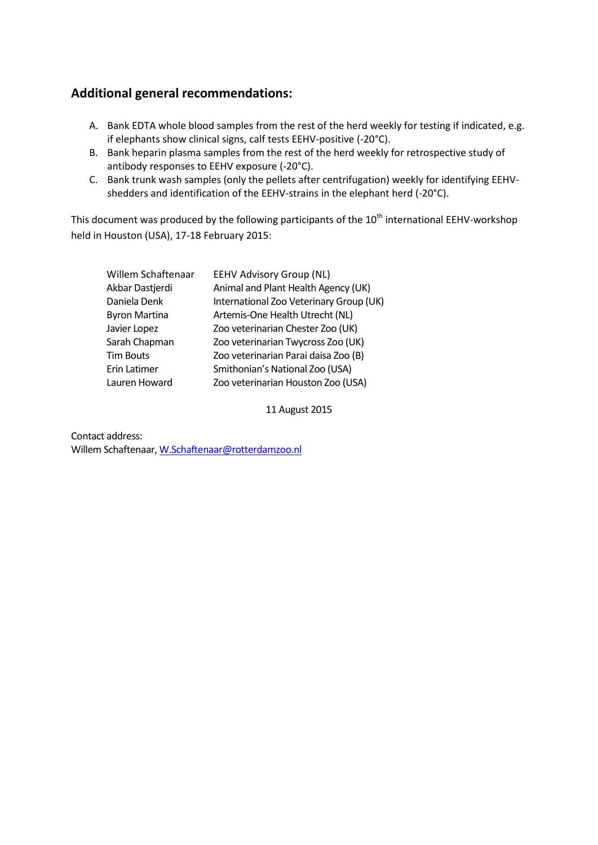# **Additional general recommendations:**

- A. Bank EDTA whole blood samples from the rest of the herd weekly for testing if indicated, e.g. if elephants show clinical signs, calf tests EEHV-positive (-20°C).
- B. Bank heparin plasma samples from the rest of the herd weekly for retrospective study of antibody responses to EEHV exposure (-20°C).
- C. Bank trunk wash samples (only the pellets after centrifugation) weekly for identifying EEHVshedders and identification of the EEHV-strains in the elephant herd (-20°C).

This document was produced by the following participants of the 10<sup>th</sup> international EEHV-workshop held in Houston (USA), 17-18 February 2015:

| Willem Schaftenaar   | <b>EEHV Advisory Group (NL)</b>         |
|----------------------|-----------------------------------------|
| Akbar Dastjerdi      | Animal and Plant Health Agency (UK)     |
| Daniela Denk         | International Zoo Veterinary Group (UK) |
| <b>Byron Martina</b> | Artemis-One Health Utrecht (NL)         |
| Javier Lopez         | Zoo veterinarian Chester Zoo (UK)       |
| Sarah Chapman        | Zoo veterinarian Twycross Zoo (UK)      |
| <b>Tim Bouts</b>     | Zoo veterinarian Parai daisa Zoo (B)    |
| Erin Latimer         | Smithonian's National Zoo (USA)         |
| Lauren Howard        | Zoo veterinarian Houston Zoo (USA)      |

11 August 2015

Contact address: Willem Schaftenaar[, W.Schaftenaar@rotterdamzoo.nl](mailto:W.Schaftenaar@rotterdamzoo.nl)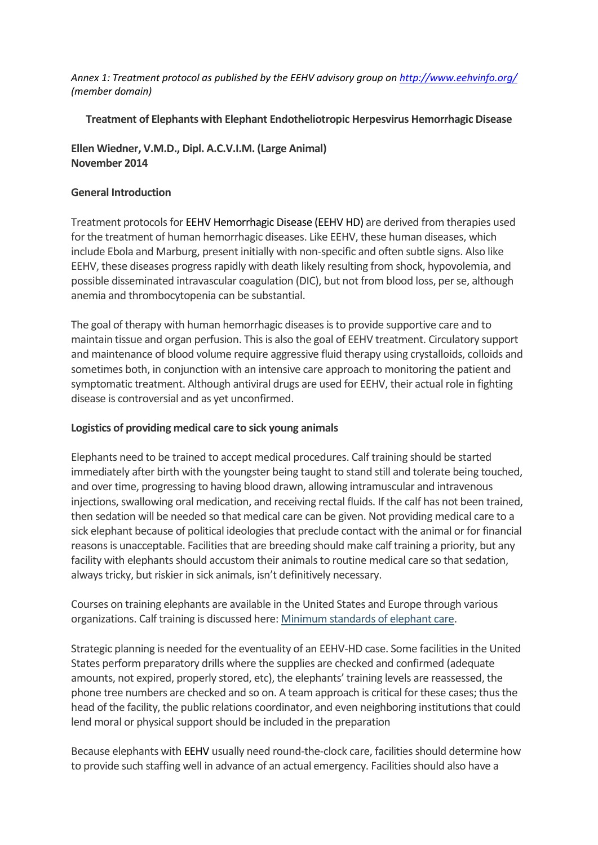*Annex 1: Treatment protocol as published by the EEHV advisory group on<http://www.eehvinfo.org/> (member domain)*

**Treatment of Elephants with Elephant Endotheliotropic Herpesvirus Hemorrhagic Disease**

**Ellen Wiedner, V.M.D., Dipl. A.C.V.I.M. (Large Animal) November 2014**

#### **General Introduction**

Treatment protocols for EEHV Hemorrhagic Disease (EEHV HD) are derived from therapies used for the treatment of human hemorrhagic diseases. Like EEHV, these human diseases, which include Ebola and Marburg, present initially with non-specific and often subtle signs. Also like EEHV, these diseases progress rapidly with death likely resulting from shock, hypovolemia, and possible disseminated intravascular coagulation (DIC), but not from blood loss, per se, although anemia and thrombocytopenia can be substantial.

The goal of therapy with human hemorrhagic diseases is to provide supportive care and to maintain tissue and organ perfusion. This is also the goal of EEHV treatment. Circulatory support and maintenance of blood volume require aggressive fluid therapy using crystalloids, colloids and sometimes both, in conjunction with an intensive care approach to monitoring the patient and symptomatic treatment. Although antiviral drugs are used for EEHV, their actual role in fighting disease is controversial and as yet unconfirmed.

#### **Logistics of providing medical care to sick young animals**

Elephants need to be trained to accept medical procedures. Calf training should be started immediately after birth with the youngster being taught to stand still and tolerate being touched, and over time, progressing to having blood drawn, allowing intramuscular and intravenous injections, swallowing oral medication, and receiving rectal fluids. If the calf has not been trained, then sedation will be needed so that medical care can be given. Not providing medical care to a sick elephant because of political ideologies that preclude contact with the animal or for financial reasons is unacceptable. Facilities that are breeding should make calf training a priority, but any facility with elephants should accustom their animals to routine medical care so that sedation, always tricky, but riskier in sick animals, isn't definitively necessary.

Courses on training elephants are available in the United States and Europe through various organizations. Calf training is discussed here: [Minimum standards of elephant care.](http://www.eehvinfo.org/animal-management-and-training/)

Strategic planning is needed for the eventuality of an EEHV-HD case. Some facilities in the United States perform preparatory drills where the supplies are checked and confirmed (adequate amounts, not expired, properly stored, etc), the elephants' training levels are reassessed, the phone tree numbers are checked and so on. A team approach is critical for these cases; thus the head of the facility, the public relations coordinator, and even neighboring institutions that could lend moral or physical support should be included in the preparation

Because elephants with EEHV usually need round-the-clock care, facilities should determine how to provide such staffing well in advance of an actual emergency. Facilities should also have a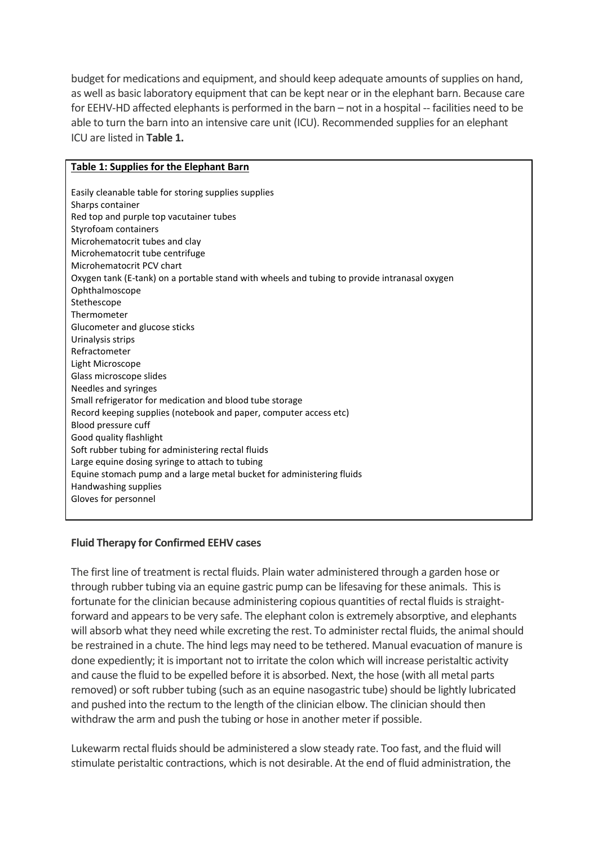budget for medications and equipment, and should keep adequate amounts of supplies on hand, as well as basic laboratory equipment that can be kept near or in the elephant barn. Because care for EEHV-HD affected elephants is performed in the barn – not in a hospital -- facilities need to be able to turn the barn into an intensive care unit (ICU). Recommended supplies for an elephant ICU are listed in **Table 1.**

#### **Table 1: Supplies for the Elephant Barn**

Easily cleanable table for storing supplies supplies Sharps container Red top and purple top vacutainer tubes Styrofoam containers Microhematocrit tubes and clay Microhematocrit tube centrifuge Microhematocrit PCV chart Oxygen tank (E-tank) on a portable stand with wheels and tubing to provide intranasal oxygen Ophthalmoscope Stethescope Thermometer Glucometer and glucose sticks Urinalysis strips Refractometer Light Microscope Glass microscope slides Needles and syringes Small refrigerator for medication and blood tube storage Record keeping supplies (notebook and paper, computer access etc) Blood pressure cuff Good quality flashlight Soft rubber tubing for administering rectal fluids Large equine dosing syringe to attach to tubing Equine stomach pump and a large metal bucket for administering fluids Handwashing supplies Gloves for personnel

#### **Fluid Therapy for Confirmed EEHV cases**

The first line of treatment is rectal fluids. Plain water administered through a garden hose or through rubber tubing via an equine gastric pump can be lifesaving for these animals. This is fortunate for the clinician because administering copious quantities of rectal fluids is straightforward and appears to be very safe. The elephant colon is extremely absorptive, and elephants will absorb what they need while excreting the rest. To administer rectal fluids, the animal should be restrained in a chute. The hind legs may need to be tethered. Manual evacuation of manure is done expediently; it is important not to irritate the colon which will increase peristaltic activity and cause the fluid to be expelled before it is absorbed. Next, the hose (with all metal parts removed) or soft rubber tubing (such as an equine nasogastric tube) should be lightly lubricated and pushed into the rectum to the length of the clinician elbow. The clinician should then withdraw the arm and push the tubing or hose in another meter if possible.

Lukewarm rectal fluids should be administered a slow steady rate. Too fast, and the fluid will stimulate peristaltic contractions, which is not desirable. At the end of fluid administration, the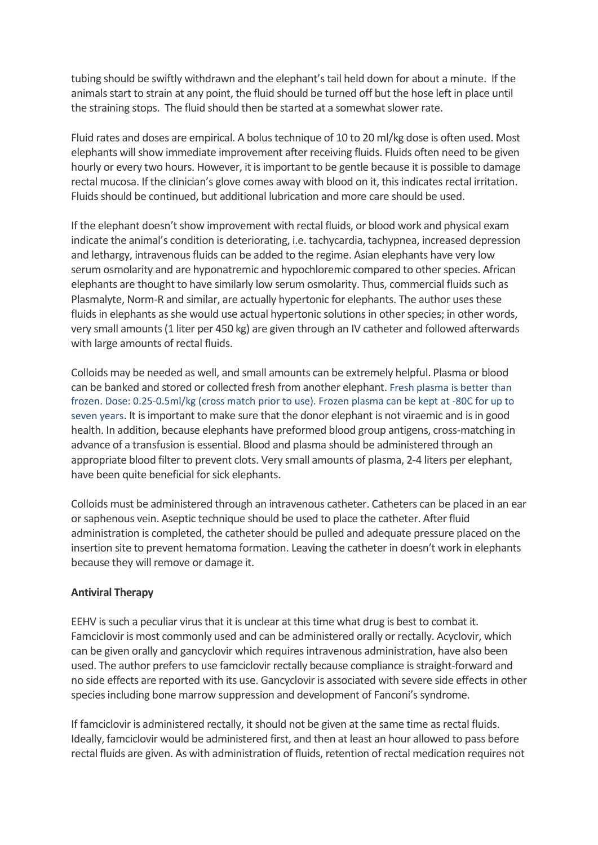tubing should be swiftly withdrawn and the elephant's tail held down for about a minute. If the animals start to strain at any point, the fluid should be turned off but the hose left in place until the straining stops. The fluid should then be started at a somewhat slower rate.

Fluid rates and doses are empirical. A bolus technique of 10 to 20 ml/kg dose is often used. Most elephants will show immediate improvement after receiving fluids. Fluids often need to be given hourly or every two hours. However, it is important to be gentle because it is possible to damage rectal mucosa. If the clinician's glove comes away with blood on it, this indicates rectal irritation. Fluids should be continued, but additional lubrication and more care should be used.

If the elephant doesn't show improvement with rectal fluids, or blood work and physical exam indicate the animal's condition is deteriorating, i.e. tachycardia, tachypnea, increased depression and lethargy, intravenous fluids can be added to the regime. Asian elephants have very low serum osmolarity and are hyponatremic and hypochloremic compared to other species. African elephants are thought to have similarly low serum osmolarity. Thus, commercial fluids such as Plasmalyte, Norm-R and similar, are actually hypertonic for elephants. The author uses these fluids in elephants as she would use actual hypertonic solutions in other species; in other words, very small amounts (1 liter per 450 kg) are given through an IV catheter and followed afterwards with large amounts of rectal fluids.

Colloids may be needed as well, and small amounts can be extremely helpful. Plasma or blood can be banked and stored or collected fresh from another elephant. Fresh plasma is better than frozen. Dose: 0.25-0.5ml/kg (cross match prior to use). Frozen plasma can be kept at -80C for up to seven years. It is important to make sure that the donor elephant is not viraemic and is in good health. In addition, because elephants have preformed blood group antigens, cross-matching in advance of a transfusion is essential. Blood and plasma should be administered through an appropriate blood filter to prevent clots. Very small amounts of plasma, 2-4 liters per elephant, have been quite beneficial for sick elephants.

Colloids must be administered through an intravenous catheter. Catheters can be placed in an ear or saphenous vein. Aseptic technique should be used to place the catheter. After fluid administration is completed, the catheter should be pulled and adequate pressure placed on the insertion site to prevent hematoma formation. Leaving the catheter in doesn't work in elephants because they will remove or damage it.

## **Antiviral Therapy**

EEHV is such a peculiar virus that it is unclear at this time what drug is best to combat it. Famciclovir is most commonly used and can be administered orally or rectally. Acyclovir, which can be given orally and gancyclovir which requires intravenous administration, have also been used. The author prefers to use famciclovir rectally because compliance is straight-forward and no side effects are reported with its use. Gancyclovir is associated with severe side effects in other species including bone marrow suppression and development of Fanconi's syndrome.

If famciclovir is administered rectally, it should not be given at the same time as rectal fluids. Ideally, famciclovir would be administered first, and then at least an hour allowed to pass before rectal fluids are given. As with administration of fluids, retention of rectal medication requires not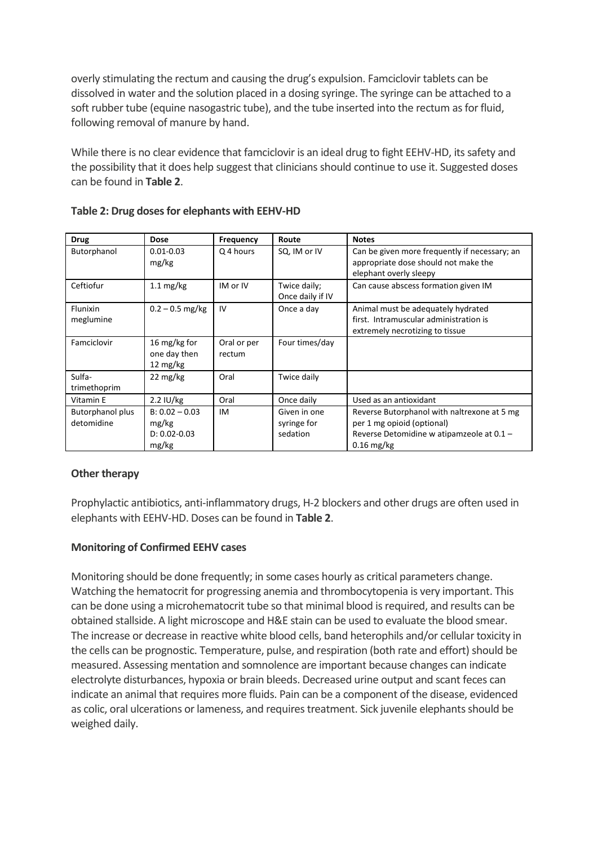overly stimulating the rectum and causing the drug's expulsion. Famciclovir tablets can be dissolved in water and the solution placed in a dosing syringe. The syringe can be attached to a soft rubber tube (equine nasogastric tube), and the tube inserted into the rectum as for fluid, following removal of manure by hand.

While there is no clear evidence that famciclovir is an ideal drug to fight EEHV-HD, its safety and the possibility that it does help suggest that clinicians should continue to use it. Suggested doses can be found in **Table 2**.

| <b>Drug</b>                           | <b>Dose</b>                                            | Frequency             | Route                                   | <b>Notes</b>                                                                                                                           |
|---------------------------------------|--------------------------------------------------------|-----------------------|-----------------------------------------|----------------------------------------------------------------------------------------------------------------------------------------|
| Butorphanol                           | $0.01 - 0.03$<br>mg/kg                                 | Q 4 hours             | SQ, IM or IV                            | Can be given more frequently if necessary; an<br>appropriate dose should not make the<br>elephant overly sleepy                        |
| Ceftiofur                             | $1.1 \text{ mg/kg}$                                    | IM or IV              | Twice daily;<br>Once daily if IV        | Can cause abscess formation given IM                                                                                                   |
| Flunixin<br>meglumine                 | $0.2 - 0.5$ mg/kg                                      | IV                    | Once a day                              | Animal must be adequately hydrated<br>first. Intramuscular administration is<br>extremely necrotizing to tissue                        |
| Famciclovir                           | 16 mg/kg for<br>one day then<br>12 mg/kg               | Oral or per<br>rectum | Four times/day                          |                                                                                                                                        |
| Sulfa-<br>trimethoprim                | 22 mg/kg                                               | Oral                  | Twice daily                             |                                                                                                                                        |
| Vitamin E                             | $2.2$ IU/kg                                            | Oral                  | Once daily                              | Used as an antioxidant                                                                                                                 |
| <b>Butorphanol plus</b><br>detomidine | $B: 0.02 - 0.03$<br>mg/kg<br>$D: 0.02 - 0.03$<br>mg/kg | IM                    | Given in one<br>syringe for<br>sedation | Reverse Butorphanol with naltrexone at 5 mg<br>per 1 mg opioid (optional)<br>Reverse Detomidine w atipamzeole at 0.1 -<br>$0.16$ mg/kg |

### **Table 2: Drug doses for elephants with EEHV-HD**

## **Other therapy**

Prophylactic antibiotics, anti-inflammatory drugs, H-2 blockers and other drugs are often used in elephants with EEHV-HD. Doses can be found in **Table 2**.

## **Monitoring of Confirmed EEHV cases**

Monitoring should be done frequently; in some cases hourly as critical parameters change. Watching the hematocrit for progressing anemia and thrombocytopenia is very important. This can be done using a microhematocrit tube so that minimal blood is required, and results can be obtained stallside. A light microscope and H&E stain can be used to evaluate the blood smear. The increase or decrease in reactive white blood cells, band heterophils and/or cellular toxicity in the cells can be prognostic. Temperature, pulse, and respiration (both rate and effort) should be measured. Assessing mentation and somnolence are important because changes can indicate electrolyte disturbances, hypoxia or brain bleeds. Decreased urine output and scant feces can indicate an animal that requires more fluids. Pain can be a component of the disease, evidenced as colic, oral ulcerations or lameness, and requires treatment. Sick juvenile elephants should be weighed daily.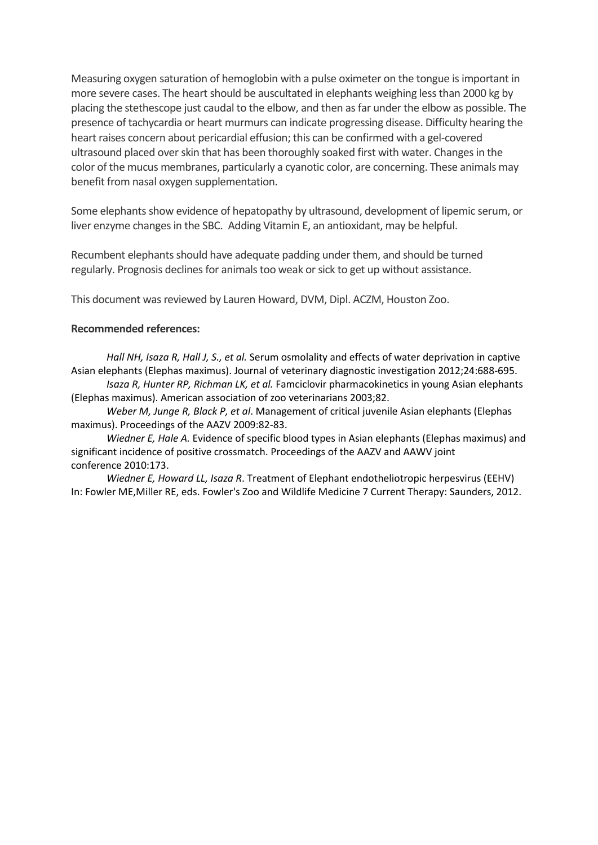Measuring oxygen saturation of hemoglobin with a pulse oximeter on the tongue is important in more severe cases. The heart should be auscultated in elephants weighing less than 2000 kg by placing the stethescope just caudal to the elbow, and then as far under the elbow as possible. The presence of tachycardia or heart murmurs can indicate progressing disease. Difficulty hearing the heart raises concern about pericardial effusion; this can be confirmed with a gel-covered ultrasound placed over skin that has been thoroughly soaked first with water. Changes in the color of the mucus membranes, particularly a cyanotic color, are concerning. These animals may benefit from nasal oxygen supplementation.

Some elephants show evidence of hepatopathy by ultrasound, development of lipemic serum, or liver enzyme changes in the SBC. Adding Vitamin E, an antioxidant, may be helpful.

Recumbent elephants should have adequate padding under them, and should be turned regularly. Prognosis declines for animals too weak or sick to get up without assistance.

This document was reviewed by Lauren Howard, DVM, Dipl. ACZM, Houston Zoo.

#### **Recommended references:**

*Hall NH, Isaza R, Hall J, S., et al.* Serum osmolality and effects of water deprivation in captive Asian elephants (Elephas maximus). Journal of veterinary diagnostic investigation 2012;24:688-695.

*Isaza R, Hunter RP, Richman LK, et al.* Famciclovir pharmacokinetics in young Asian elephants (Elephas maximus). American association of zoo veterinarians 2003;82.

*Weber M, Junge R, Black P, et al*. Management of critical juvenile Asian elephants (Elephas maximus). Proceedings of the AAZV 2009:82-83.

*Wiedner E, Hale A.* Evidence of specific blood types in Asian elephants (Elephas maximus) and significant incidence of positive crossmatch. Proceedings of the AAZV and AAWV joint conference 2010:173.

*Wiedner E, Howard LL, Isaza R*. Treatment of Elephant endotheliotropic herpesvirus (EEHV) In: Fowler ME,Miller RE, eds. Fowler's Zoo and Wildlife Medicine 7 Current Therapy: Saunders, 2012.